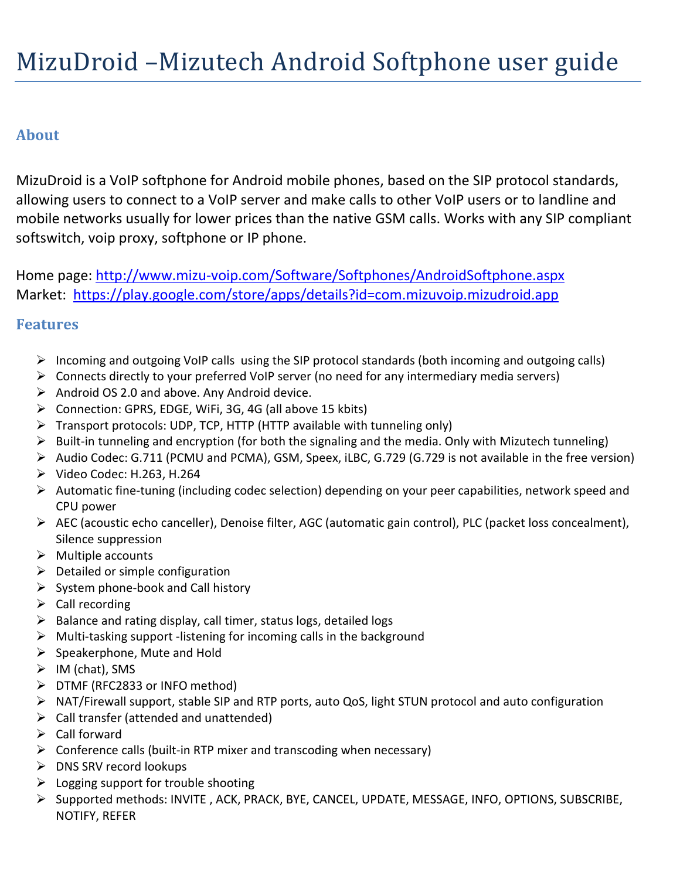# **About**

MizuDroid is a VoIP softphone for Android mobile phones, based on the SIP protocol standards, allowing users to connect to a VoIP server and make calls to other VoIP users or to landline and mobile networks usually for lower prices than the native GSM calls. Works with any SIP compliant softswitch, voip proxy, softphone or IP phone.

Home page:<http://www.mizu-voip.com/Software/Softphones/AndroidSoftphone.aspx> Market: <https://play.google.com/store/apps/details?id=com.mizuvoip.mizudroid.app>

### **Features**

- $\triangleright$  Incoming and outgoing VoIP calls using the SIP protocol standards (both incoming and outgoing calls)
- $\triangleright$  Connects directly to your preferred VoIP server (no need for any intermediary media servers)
- $\triangleright$  Android OS 2.0 and above. Any Android device.
- Connection: GPRS, EDGE, WiFi, 3G, 4G (all above 15 kbits)
- $\triangleright$  Transport protocols: UDP, TCP, HTTP (HTTP available with tunneling only)
- $\triangleright$  Built-in tunneling and encryption (for both the signaling and the media. Only with Mizutech tunneling)
- Audio Codec: G.711 (PCMU and PCMA), GSM, Speex, iLBC, G.729 (G.729 is not available in the free version)  $\triangleright$  Video Codec: H.263, H.264
- Automatic fine-tuning (including codec selection) depending on your peer capabilities, network speed and CPU power
- AEC (acoustic echo canceller), Denoise filter, AGC (automatic gain control), PLC (packet loss concealment), Silence suppression
- $\triangleright$  Multiple accounts
- $\triangleright$  Detailed or simple configuration
- $\triangleright$  System phone-book and Call history
- $\triangleright$  Call recording
- $\triangleright$  Balance and rating display, call timer, status logs, detailed logs
- $\triangleright$  Multi-tasking support -listening for incoming calls in the background
- $\triangleright$  Speakerphone, Mute and Hold
- $\triangleright$  IM (chat), SMS
- $\triangleright$  DTMF (RFC2833 or INFO method)
- NAT/Firewall support, stable SIP and RTP ports, auto QoS, light STUN protocol and auto configuration
- $\triangleright$  Call transfer (attended and unattended)
- $\triangleright$  Call forward
- $\triangleright$  Conference calls (built-in RTP mixer and transcoding when necessary)
- $\triangleright$  DNS SRV record lookups
- $\triangleright$  Logging support for trouble shooting
- Supported methods: INVITE , ACK, PRACK, BYE, CANCEL, UPDATE, MESSAGE, INFO, OPTIONS, SUBSCRIBE, NOTIFY, REFER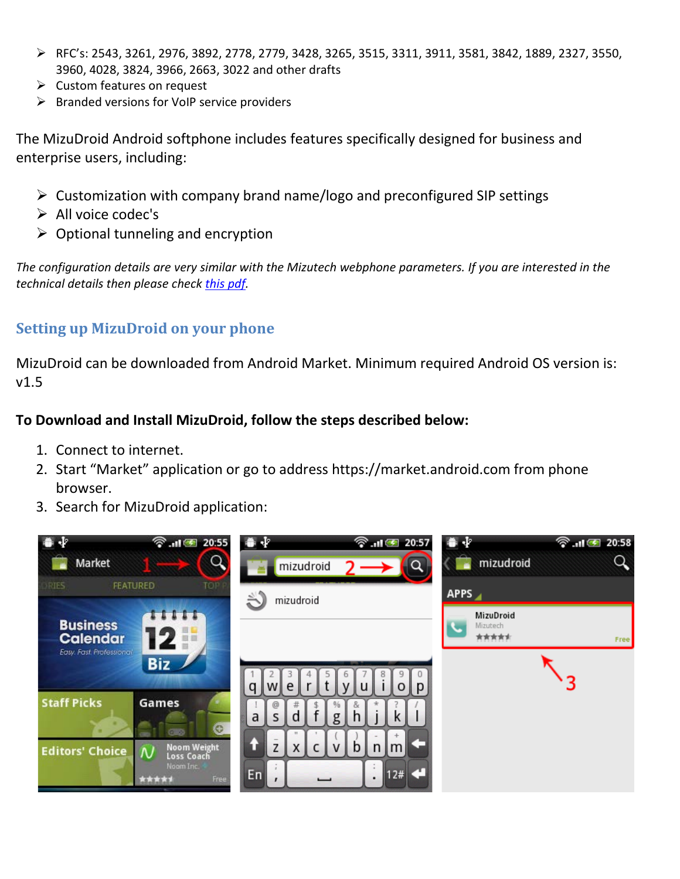- RFC's: 2543, 3261, 2976, 3892, 2778, 2779, 3428, 3265, 3515, 3311, 3911, 3581, 3842, 1889, 2327, 3550, 3960, 4028, 3824, 3966, 2663, 3022 and other drafts
- $\triangleright$  Custom features on request
- $\triangleright$  Branded versions for VoIP service providers

The MizuDroid Android softphone includes features specifically designed for business and enterprise users, including:

- $\triangleright$  Customization with company brand name/logo and preconfigured SIP settings
- > All voice codec's
- $\triangleright$  Optional tunneling and encryption

*The configuration details are very similar with the Mizutech webphone parameters. If you are interested in the technical details then please chec[k this pdf.](http://www.mizu-voip.com/Portals/0/Files/Mizu_WebPhone.pdf)*

### **Setting up MizuDroid on your phone**

MizuDroid can be downloaded from Android Market. Minimum required Android OS version is: v1.5

### **To Download and Install MizuDroid, follow the steps described below:**

- 1. Connect to internet.
- 2. Start "Market" application or go to address https://market.android.com from phone browser.
- 3. Search for MizuDroid application:

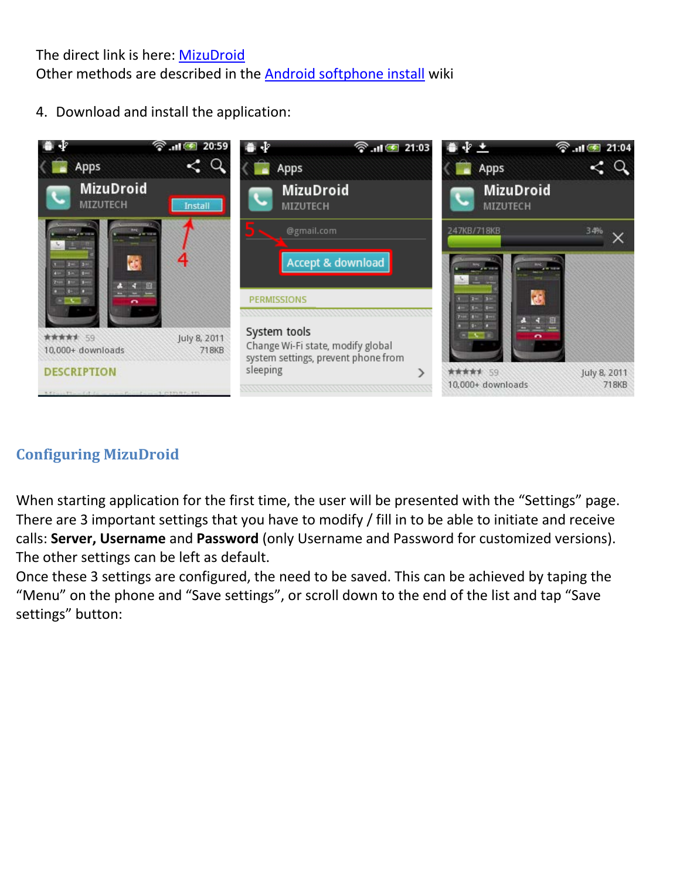The direct link is here: [MizuDroid](https://play.google.com/store/apps/details?id=com.mizuvoip.mizudroid.app) Other methods are described in the [Android softphone install](http://www.mizu-voip.com/Support/Wiki/tabid/99/topic/Install%20Android%20softphone/Default.aspx) wiki

4. Download and install the application:



# **Configuring MizuDroid**

When starting application for the first time, the user will be presented with the "Settings" page. There are 3 important settings that you have to modify / fill in to be able to initiate and receive calls: **Server, Username** and **Password** (only Username and Password for customized versions). The other settings can be left as default.

Once these 3 settings are configured, the need to be saved. This can be achieved by taping the "Menu" on the phone and "Save settings", or scroll down to the end of the list and tap "Save settings" button: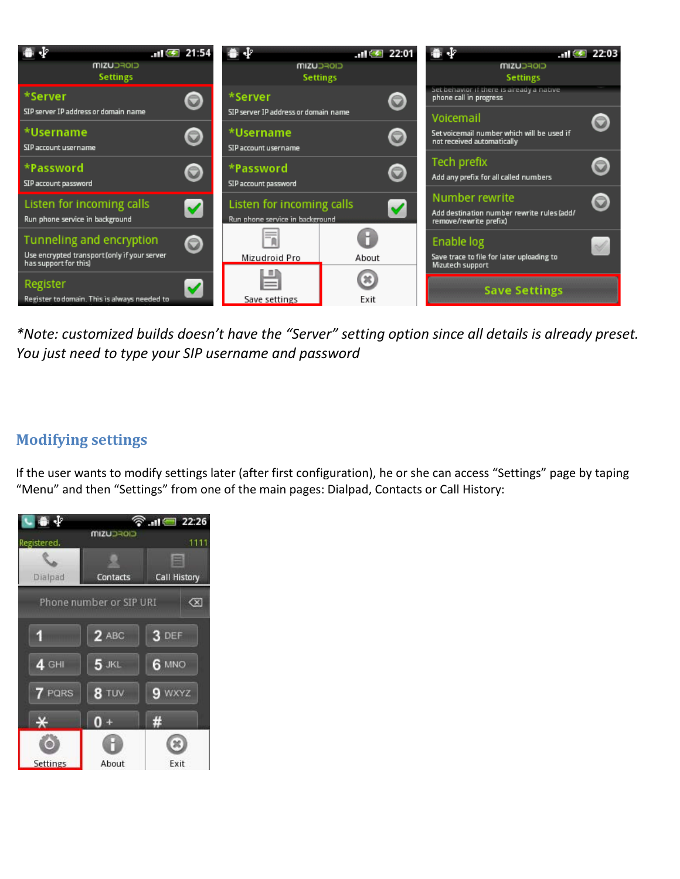

*\*Note: customized builds doesn't have the "Server" setting option since all details is already preset. You just need to type your SIP username and password*

### **Modifying settings**

If the user wants to modify settings later (after first configuration), he or she can access "Settings" page by taping "Menu" and then "Settings" from one of the main pages: Dialpad, Contacts or Call History:

| $\overline{a}$               |                  | <b>Saul 22:26</b> |
|------------------------------|------------------|-------------------|
| Registered.                  | <b>CIOFCUZIM</b> | 1111              |
|                              |                  | 曲                 |
| Dialpad                      | Contacts         | Call History      |
| Phone number or SIP URI<br>∞ |                  |                   |
|                              | $2$ ABC          | 3 DEF             |
| $4$ GHI                      | $5$ JKL          | <b>6 MNO</b>      |
| PQRS                         | 8 TUV            | WXYZ              |
| —∡                           |                  | #                 |
|                              |                  |                   |
| <b>Settings</b>              | About            | Exit              |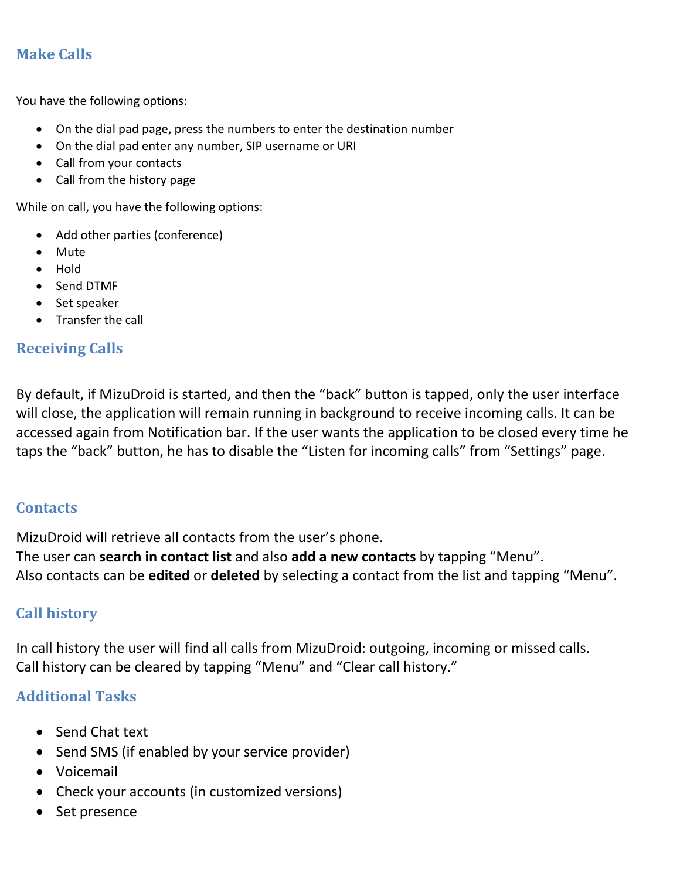### **Make Calls**

You have the following options:

- On the dial pad page, press the numbers to enter the destination number
- On the dial pad enter any number, SIP username or URI
- Call from your contacts
- Call from the history page

While on call, you have the following options:

- Add other parties (conference)
- Mute
- Hold
- Send DTMF
- Set speaker
- Transfer the call

#### **Receiving Calls**

By default, if MizuDroid is started, and then the "back" button is tapped, only the user interface will close, the application will remain running in background to receive incoming calls. It can be accessed again from Notification bar. If the user wants the application to be closed every time he taps the "back" button, he has to disable the "Listen for incoming calls" from "Settings" page.

#### **Contacts**

MizuDroid will retrieve all contacts from the user's phone. The user can **search in contact list** and also **add a new contacts** by tapping "Menu". Also contacts can be **edited** or **deleted** by selecting a contact from the list and tapping "Menu".

#### **Call history**

In call history the user will find all calls from MizuDroid: outgoing, incoming or missed calls. Call history can be cleared by tapping "Menu" and "Clear call history."

### **Additional Tasks**

- Send Chat text
- Send SMS (if enabled by your service provider)
- Voicemail
- Check your accounts (in customized versions)
- Set presence